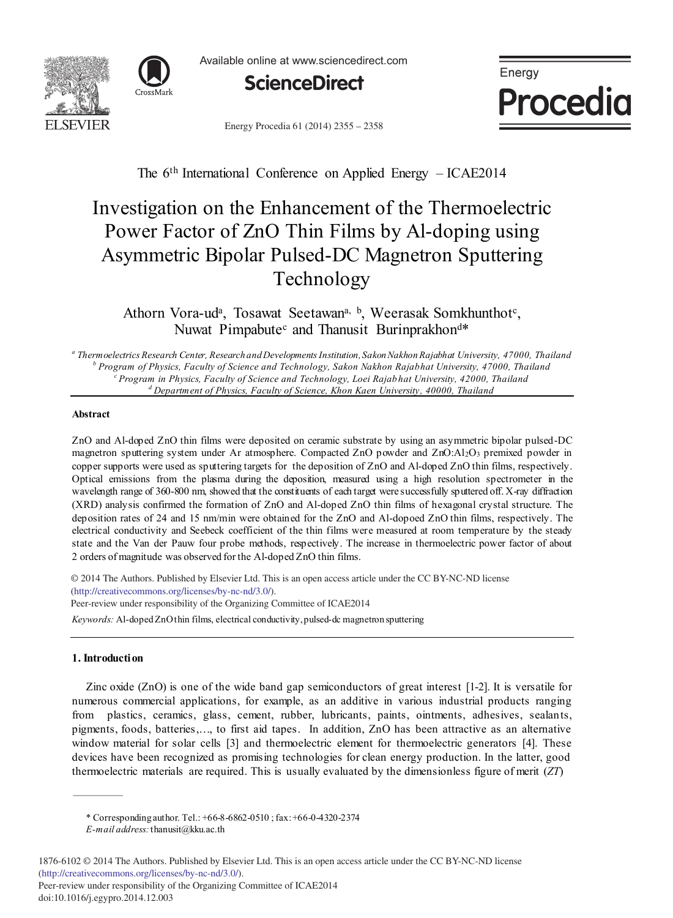



Available online at www.sciencedirect.com



Energy Procedia 61 (2014) 2355 - 2358



The 6<sup>th</sup> International Conference on Applied Energy – ICAE2014

# Investigation on the Enhancement of the Thermoelectric Power Factor of ZnO Thin Films by Al-doping using Asymmetric Bipolar Pulsed-DC Magnetron Sputtering Technology

Athorn Vora-ud<sup>a</sup>, Tosawat Seetawan<sup>a, b</sup>, Weerasak Somkhunthot<sup>c</sup>, Nuwat Pimpabute<sup>c</sup> and Thanusit Burinprakhon<sup>d\*</sup>

*a Thermoelectrics Research Center, Research and DevelopmentsInstitution, Sakon Nakhon Rajabhat University, 47000, Thailand b Program of Physics, Faculty of Science and Technology, Sakon Nakhon Rajabhat University, 47000, Thailand c Program in Physics, Faculty of Science and Technology, Loei Rajab hat University, 42000, Thailand d Department of Physics, Faculty of Science, Khon Kaen University, 40000, Thailand*

## **Abstract**

ZnO and Al-doped ZnO thin films were deposited on ceramic substrate by using an asymmetric bipolar pulsed-DC magnetron sputtering system under Ar atmosphere. Compacted ZnO powder and ZnO:Al2O3 premixed powder in copper supports were used as sputtering targets for the deposition of ZnO and Al-doped ZnO thin films, respectively. Optical emissions from the plasma during the deposition, measured using a high resolution spectrometer in the wavelength range of 360-800 nm, showed that the constituents of each target were successfully sputtered off. X-ray diffraction (XRD) analysis confirmed the formation of ZnO and Al-doped ZnO thin films of hexagonal crystal structure. The deposition rates of 24 and 15 nm/min were obtained for the ZnO and Al-dopoed ZnO thin films, respectively. The electrical conductivity and Seebeck coefficient of the thin films were measured at room temperature by the steady state and the Van der Pauw four probe methods, respectively. The increase in thermoelectric power factor of about 2 orders of magnitude was observed for the Al-doped ZnO thin films.

© 2014 The Authors. Published by Elsevier Ltd. © 2014 The Authors. Published by Elsevier Ltd. This is an open access article under the CC BY-NC-ND license (http://creativecommons.org/licenses/by-nc-nd/3.0/). *Keywords:* Al-doped ZnO thin films, electrical conductivity, pulsed-dc magnetron sputtering Peer-review under responsibility of the Organizing Committee of ICAE2014

## **1. Introduction**

doi: 10.1016/j.egypro.2014.12.003

Zinc oxide (ZnO) is one of the wide band gap semiconductors of great interest [1-2]. It is versatile for numerous commercial applications, for example, as an additive in various industrial products ranging from plastics, ceramics, glass, cement, rubber, lubricants, paints, ointments, adhesives, sealants, pigments, foods, batteries,…, to first aid tapes. In addition, ZnO has been attractive as an alternative window material for solar cells [3] and thermoelectric element for thermoelectric generators [4]. These devices have been recognized as promising technologies for clean energy production. In the latter, good thermoelectric materials are required. This is usually evaluated by the dimensionless figure of merit (*ZT*)

<sup>\*</sup> Corresponding author. Tel.: +66-8-6862-0510 ; fax: +66-0-4320-2374 *E-mail address:*thanusit@kku.ac.th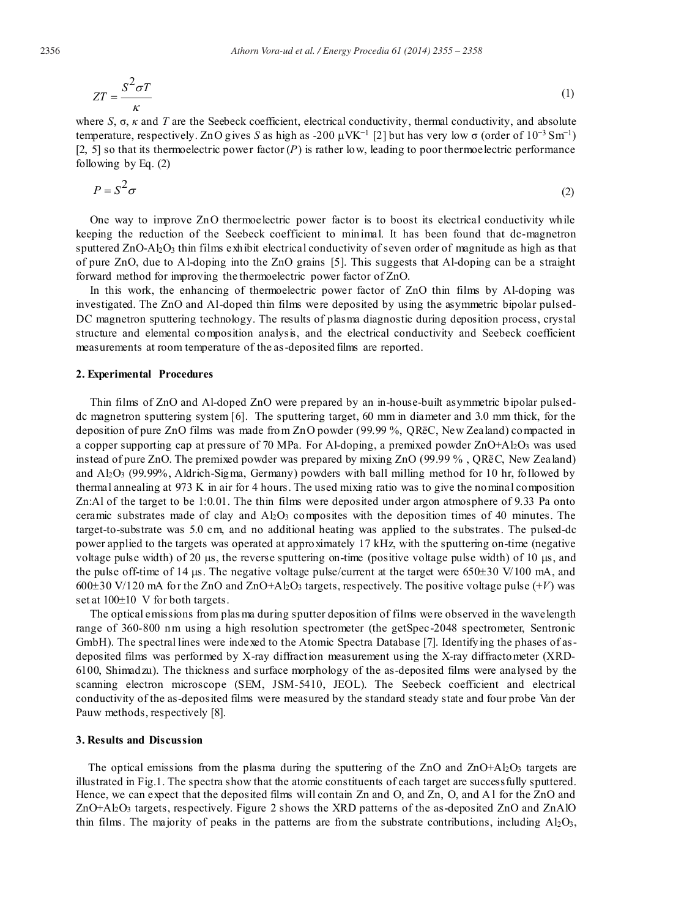$$
ZT = \frac{S^2 \sigma T}{\kappa} \tag{1}
$$

where *S*, σ, *κ* and *T* are the Seebeck coefficient, electrical conductivity, thermal conductivity, and absolute temperature, respectively. ZnO gives *S* as high as -200  $\mu$ VK<sup>-1</sup> [2] but has very low  $\sigma$  (order of  $10^{-3}$  Sm<sup>-1</sup>) [2, 5] so that its thermoelectric power factor  $(P)$  is rather low, leading to poor thermoelectric performance following by Eq. (2)

$$
P = S^2 \sigma \tag{2}
$$

One way to improve ZnO thermoelectric power factor is to boost its electrical conductivity while keeping the reduction of the Seebeck coefficient to minimal. It has been found that dc-magnetron sputtered  $ZnO-A_2O_3$  thin films exhibit electrical conductivity of seven order of magnitude as high as that of pure ZnO, due to Al-doping into the ZnO grains [5]. This suggests that Al-doping can be a straight forward method for improving the thermoelectric power factor of ZnO.

In this work, the enhancing of thermoelectric power factor of ZnO thin films by Al-doping was investigated. The ZnO and Al-doped thin films were deposited by using the asymmetric bipolar pulsed-DC magnetron sputtering technology. The results of plasma diagnostic during deposition process, crystal structure and elemental composition analysis, and the electrical conductivity and Seebeck coefficient measurements at room temperature of the as-deposited films are reported.

#### **2. Experimental Procedures**

Thin films of ZnO and Al-doped ZnO were prepared by an in-house-built asymmetric bipolar pulseddc magnetron sputtering system [6]. The sputtering target, 60 mm in diameter and 3.0 mm thick, for the deposition of pure ZnO films was made from ZnO powder (99.99 %, QRëC, New Zealand) compacted in a copper supporting cap at pressure of 70 MPa. For Al-doping, a premixed powder  $ZnO+AI<sub>2</sub>O<sub>3</sub>$  was used instead of pure ZnO. The premixed powder was prepared by mixing ZnO (99.99 % , QRëC, New Zealand) and  $A_1Q_3$  (99.99%, Aldrich-Sigma, Germany) powders with ball milling method for 10 hr, followed by thermal annealing at 973 K in air for 4 hours. The used mixing ratio was to give the nominal composition Zn:Al of the target to be 1:0.01. The thin films were deposited under argon atmosphere of 9.33 Pa onto ceramic substrates made of clay and  $A_1Q_3$  composites with the deposition times of 40 minutes. The target-to-substrate was 5.0 cm, and no additional heating was applied to the substrates. The pulsed-dc power applied to the targets was operated at approximately 17 kHz, with the sputtering on-time (negative voltage pulse width) of 20  $\mu$ s, the reverse sputtering on-time (positive voltage pulse width) of 10  $\mu$ s, and the pulse off-time of 14  $\mu$ s. The negative voltage pulse/current at the target were 650 $\pm$ 30 V/100 mA, and  $600\pm30$  V/120 mA for the ZnO and ZnO+Al<sub>2</sub>O<sub>3</sub> targets, respectively. The positive voltage pulse (+*V*) was set at  $100\pm10$  V for both targets.

The optical emissions from plas ma during sputter deposition of films were observed in the wavelength range of 360-800 nm using a high resolution spectrometer (the getSpec-2048 spectrometer, Sentronic GmbH). The spectral lines were indexed to the Atomic Spectra Database [7]. Identifying the phases of asdeposited films was performed by X-ray diffraction measurement using the X-ray diffractometer (XRD-6100, Shimadzu). The thickness and surface morphology of the as-deposited films were analysed by the scanning electron microscope (SEM, JSM-5410, JEOL). The Seebeck coefficient and electrical conductivity of the as-deposited films were measured by the standard steady state and four probe Van der Pauw methods, respectively [8].

## **3. Results and Discussion**

The optical emissions from the plasma during the sputtering of the  $ZnO$  and  $ZnO+AI<sub>2</sub>O<sub>3</sub>$  targets are illustrated in Fig.1. The spectra show that the atomic constituents of each target are successfully sputtered. Hence, we can expect that the deposited films will contain Zn and O, and Zn, O, and A l for the ZnO and ZnO+Al2O3 targets, respectively. Figure 2 shows the XRD patterns of the as-deposited ZnO and ZnAlO thin films. The majority of peaks in the patterns are from the substrate contributions, including  $A_1Q_3$ ,